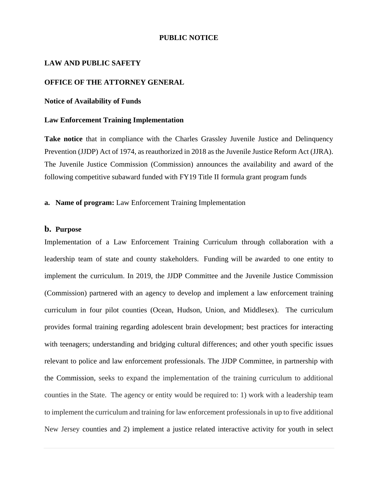### **PUBLIC NOTICE**

#### **LAW AND PUBLIC SAFETY**

### **OFFICE OF THE ATTORNEY GENERAL**

### **Notice of Availability of Funds**

### **Law Enforcement Training Implementation**

**Take notice** that in compliance with the Charles Grassley Juvenile Justice and Delinquency Prevention (JJDP) Act of 1974, as reauthorized in 2018 as the Juvenile Justice Reform Act (JJRA). The Juvenile Justice Commission (Commission) announces the availability and award of the following competitive subaward funded with FY19 Title II formula grant program funds

### **a. Name of program:** Law Enforcement Training Implementation

### **b. Purpose**

Implementation of a Law Enforcement Training Curriculum through collaboration with a leadership team of state and county stakeholders. Funding will be awarded to one entity to implement the curriculum. In 2019, the JJDP Committee and the Juvenile Justice Commission (Commission) partnered with an agency to develop and implement a law enforcement training curriculum in four pilot counties (Ocean, Hudson, Union, and Middlesex). The curriculum provides formal training regarding adolescent brain development; best practices for interacting with teenagers; understanding and bridging cultural differences; and other youth specific issues relevant to police and law enforcement professionals. The JJDP Committee, in partnership with the Commission, seeks to expand the implementation of the training curriculum to additional counties in the State. The agency or entity would be required to: 1) work with a leadership team to implement the curriculum and training for law enforcement professionals in up to five additional New Jersey counties and 2) implement a justice related interactive activity for youth in select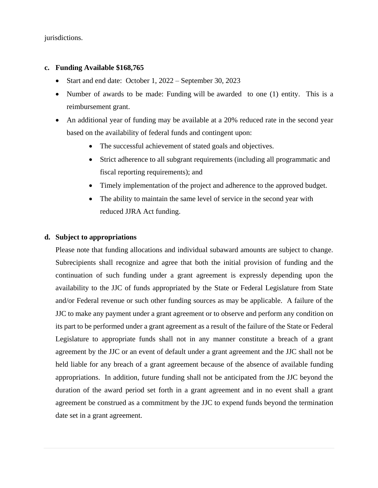jurisdictions.

### **c. Funding Available \$168,765**

- Start and end date: October 1, 2022 September 30, 2023
- Number of awards to be made: Funding will be awarded to one (1) entity. This is a reimbursement grant.
- An additional year of funding may be available at a 20% reduced rate in the second year based on the availability of federal funds and contingent upon:
	- The successful achievement of stated goals and objectives.
	- Strict adherence to all subgrant requirements (including all programmatic and fiscal reporting requirements); and
	- Timely implementation of the project and adherence to the approved budget.
	- The ability to maintain the same level of service in the second year with reduced JJRA Act funding.

## **d. Subject to appropriations**

Please note that funding allocations and individual subaward amounts are subject to change. Subrecipients shall recognize and agree that both the initial provision of funding and the continuation of such funding under a grant agreement is expressly depending upon the availability to the JJC of funds appropriated by the State or Federal Legislature from State and/or Federal revenue or such other funding sources as may be applicable. A failure of the JJC to make any payment under a grant agreement or to observe and perform any condition on its part to be performed under a grant agreement as a result of the failure of the State or Federal Legislature to appropriate funds shall not in any manner constitute a breach of a grant agreement by the JJC or an event of default under a grant agreement and the JJC shall not be held liable for any breach of a grant agreement because of the absence of available funding appropriations. In addition, future funding shall not be anticipated from the JJC beyond the duration of the award period set forth in a grant agreement and in no event shall a grant agreement be construed as a commitment by the JJC to expend funds beyond the termination date set in a grant agreement.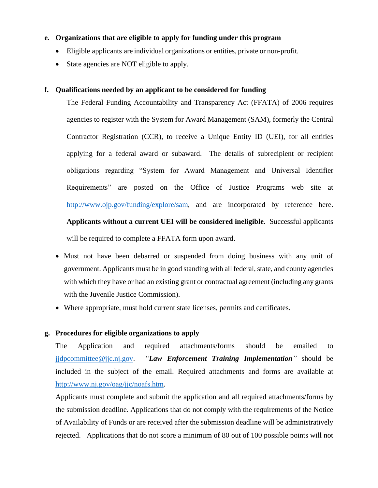## **e. Organizations that are eligible to apply for funding under this program**

- Eligible applicants are individual organizations or entities, private or non-profit.
- State agencies are NOT eligible to apply.

## **f. Qualifications needed by an applicant to be considered for funding**

The Federal Funding Accountability and Transparency Act (FFATA) of 2006 requires agencies to register with the System for Award Management (SAM), formerly the Central Contractor Registration (CCR), to receive a Unique Entity ID (UEI), for all entities applying for a federal award or subaward. The details of subrecipient or recipient obligations regarding "System for Award Management and Universal Identifier Requirements" are posted on the Office of Justice Programs web site at [http://www.ojp.gov/funding/explore/sam,](http://www.ojp.gov/funding/explore/sam) and are incorporated by reference here. **Applicants without a current UEI will be considered ineligible**. Successful applicants will be required to complete a FFATA form upon award.

- Must not have been debarred or suspended from doing business with any unit of government. Applicants must be in good standing with all federal, state, and county agencies with which they have or had an existing grant or contractual agreement (including any grants with the Juvenile Justice Commission).
- Where appropriate, must hold current state licenses, permits and certificates.

# **g. Procedures for eligible organizations to apply**

The Application and required attachments/forms should be emailed to [jjdpcommittee@jjc.nj.gov.](mailto:jjdpcommittee@jjc.nj.gov) *"Law Enforcement Training Implementation"* should be included in the subject of the email. Required attachments and forms are available at [http://www.nj.gov/oag/jjc/noafs.htm.](http://www.nj.gov/oag/jjc/noafs.htm)

Applicants must complete and submit the application and all required attachments/forms by the submission deadline. Applications that do not comply with the requirements of the Notice of Availability of Funds or are received after the submission deadline will be administratively rejected. Applications that do not score a minimum of 80 out of 100 possible points will not